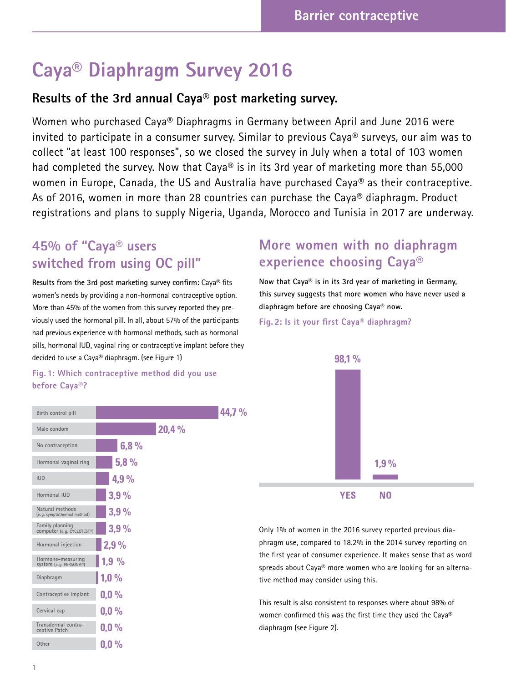# **Caya® Diaphragm Survey 2016**

### **Results of the 3rd annual Caya® post marketing survey.**

Women who purchased Caya® Diaphragms in Germany between April and June 2016 were invited to participate in a consumer survey. Similar to previous Caya® surveys, our aim was to collect "at least 100 responses", so we closed the survey in July when a total of 103 women had completed the survey. Now that Caya® is in its 3rd year of marketing more than 55,000 women in Europe, Canada, the US and Australia have purchased Caya® as their contraceptive. As of 2016, women in more than 28 countries can purchase the Caya® diaphragm. Product registrations and plans to supply Nigeria, Uganda, Morocco and Tunisia in 2017 are underway.

# **45% of "Caya® users switched from using OC pill"**

**Results from the 3rd post marketing survey confirm:** Caya® fits women's needs by providing a non-hormonal contraceptive option. More than 45% of the women from this survey reported they previously used the hormonal pill. In all, about 57% of the participants had previous experience with hormonal methods, such as hormonal pills, hormonal IUD, vaginal ring or contraceptive implant before they decided to use a Caya® diaphragm. (see Figure 1)

# **experience choosing Caya® Now that Caya® is in its 3rd year of marketing in Germany,**

**More women with no diaphragm** 

**this survey suggests that more women who have never used a diaphragm before are choosing Caya® now.**

**Fig. 2: Is it your first Caya® diaphragm?** 



Only 1% of women in the 2016 survey reported previous diaphragm use, compared to 18.2% in the 2014 survey reporting on the first year of consumer experience. It makes sense that as word spreads about Caya**®** more women who are looking for an alternative method may consider using this.

This result is also consistent to responses where about 98% of women confirmed this was the first time they used the Caya® diaphragm (see Figure 2).

### **Fig. 1: Which contraceptive method did you use before Caya®?**

| Birth control pill                                       |         |       | 44. |
|----------------------------------------------------------|---------|-------|-----|
| Male condom                                              |         | 20,4% |     |
| No contraception                                         | 6,8%    |       |     |
| Hormonal vaginal ring                                    | 5,8%    |       |     |
| <b>IUD</b>                                               | 4,9%    |       |     |
| Hormonal IUD                                             | 3,9%    |       |     |
| Natural methods<br>(e.g. symptothermal method)           | 3.9%    |       |     |
| Family planning<br>computer (e.g. CYCLOTEST®)            | 3,9%    |       |     |
| Hormonal injection                                       | 2,9%    |       |     |
| Hormone-measuring<br>system (e.g. PERSONA <sup>®</sup> ) | 1,9%    |       |     |
| Diaphragm                                                | 1,0%    |       |     |
| Contraceptive implant                                    | 0.0%    |       |     |
| Cervical cap                                             | $0.0\%$ |       |     |
| Transdermal contra-<br>ceptive Patch                     | $0.0\%$ |       |     |
| Other                                                    | $0,0\%$ |       |     |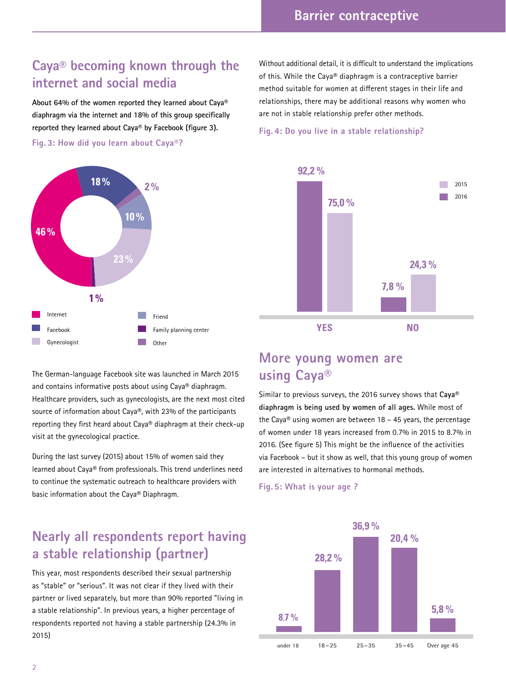# **Caya® becoming known through the internet and social media**

**About 64% of the women reported they learned about Caya® diaphragm via the internet and 18% of this group specifically reported they learned about Caya® by Facebook (figure 3).** 

**Fig. 3: How did you learn about Caya®?**



The German-language Facebook site was launched in March 2015 and contains informative posts about using Caya® diaphragm. Healthcare providers, such as gynecologists, are the next most cited source of information about Caya®, with 23% of the participants reporting they first heard about Caya® diaphragm at their check-up visit at the gynecological practice.

During the last survey (2015) about 15% of women said they learned about Caya® from professionals. This trend underlines need to continue the systematic outreach to healthcare providers with basic information about the Caya® Diaphragm.

### **Nearly all respondents report having a stable relationship (partner)**

This year, most respondents described their sexual partnership as "stable" or "serious". It was not clear if they lived with their partner or lived separately, but more than 90% reported "living in a stable relationship". In previous years, a higher percentage of respondents reported not having a stable partnership (24.3% in 2015)

Without additional detail, it is difficult to understand the implications of this. While the Caya® diaphragm is a contraceptive barrier method suitable for women at different stages in their life and relationships, there may be additional reasons why women who are not in stable relationship prefer other methods.

#### **Fig. 4: Do you live in a stable relationship?**



### **More young women are using Caya®**

Similar to previous surveys, the 2016 survey shows that **Caya® diaphragm is being used by women of all ages.** While most of the Caya® using women are between  $18 - 45$  years, the percentage of women under 18 years increased from 0.7% in 2015 to 8.7% in 2016. (See figure 5) This might be the influence of the activities via Facebook – but it show as well, that this young group of women are interested in alternatives to hormonal methods.

#### **Fig. 5: What is your age ?**

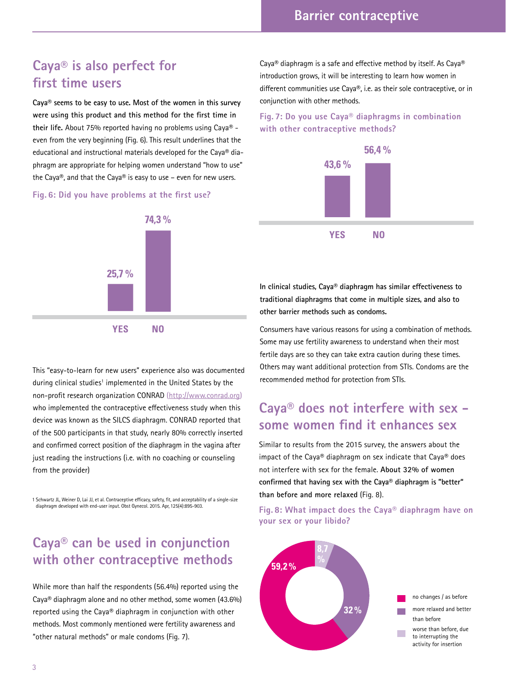### **Caya® is also perfect for first time users**

**Caya® seems to be easy to use. Most of the women in this survey were using this product and this method for the first time in their life.** About 75% reported having no problems using Caya® even from the very beginning (Fig. 6). This result underlines that the educational and instructional materials developed for the Caya® diaphragm are appropriate for helping women understand "how to use" the Caya®, and that the Caya® is easy to use – even for new users.

### **Fig. 6: Did you have problems at the first use?**



This "easy-to-learn for new users" experience also was documented during clinical studies<sup>1</sup> implemented in the United States by the non-profit research organization CONRAD (http://www.conrad.org) who implemented the contraceptive effectiveness study when this device was known as the SILCS diaphragm. CONRAD reported that of the 500 participants in that study, nearly 80% correctly inserted and confirmed correct position of the diaphragm in the vagina after just reading the instructions (i.e. with no coaching or counseling from the provider)

1 Schwartz JL, Weiner D, Lai JJ, et al. Contraceptive efficacy, safety, fit, and acceptability of a single-size diaphragm developed with end-user input. Obst Gynecol. 2015. Apr, 125(4):895-903.

### **Caya® can be used in conjunction with other contraceptive methods**

While more than half the respondents (56.4%) reported using the Caya® diaphragm alone and no other method, some women (43.6%) reported using the Caya® diaphragm in conjunction with other methods. Most commonly mentioned were fertility awareness and "other natural methods" or male condoms (Fig. 7).

Caya® diaphragm is a safe and effective method by itself. As Caya® introduction grows, it will be interesting to learn how women in different communities use Caya®, i.e. as their sole contraceptive, or in conjunction with other methods.

**Fig. 7: Do you use Caya® diaphragms in combination with other contraceptive methods?**



**In clinical studies, Caya® diaphragm has similar effectiveness to traditional diaphragms that come in multiple sizes, and also to other barrier methods such as condoms.** 

Consumers have various reasons for using a combination of methods. Some may use fertility awareness to understand when their most fertile days are so they can take extra caution during these times. Others may want additional protection from STIs. Condoms are the recommended method for protection from STIs.

### **Caya® does not interfere with sex some women find it enhances sex**

Similar to results from the 2015 survey, the answers about the impact of the Caya® diaphragm on sex indicate that Caya® does not interfere with sex for the female. **About 32% of women confirmed that having sex with the Caya® diaphragm is "better" than before and more relaxed** (Fig. 8).

**Fig. 8: What impact does the Caya® diaphragm have on your sex or your libido?**

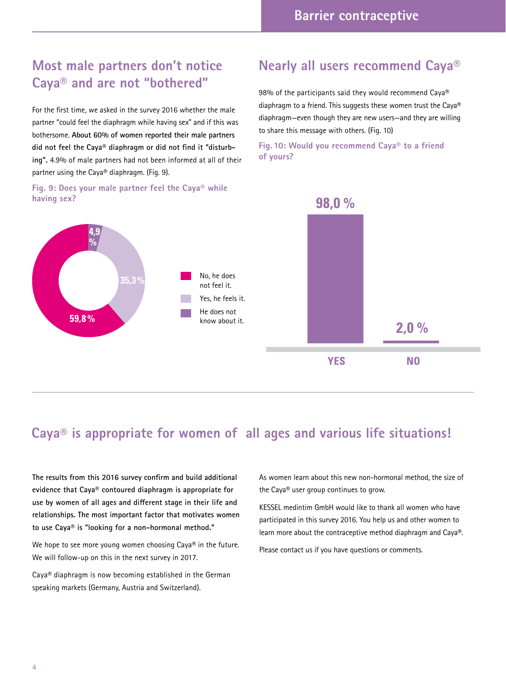# **Most male partners don't notice Caya® and are not "bothered"**

For the first time, we asked in the survey 2016 whether the male partner "could feel the diaphragm while having sex" and if this was bothersome. **About 60% of women reported their male partners did not feel the Caya® diaphragm or did not find it "disturbing".** 4.9% of male partners had not been informed at all of their partner using the Caya® diaphragm. (Fig. 9).

### **Fig. 9: Does your male partner feel the Caya® while having sex?**

### **Nearly all users recommend Caya®**

98% of the participants said they would recommend Caya® diaphragm to a friend. This suggests these women trust the Caya® diaphragm—even though they are new users—and they are willing to share this message with others. (Fig. 10)

**Fig. 10: Would you recommend Caya® to a friend of yours?**



### **Caya® is appropriate for women of all ages and various life situations!**

**The results from this 2016 survey confirm and build additional evidence that Caya® contoured diaphragm is appropriate for use by women of all ages and different stage in their life and relationships. The most important factor that motivates women to use Caya® is "looking for a non-hormonal method."**

We hope to see more young women choosing Caya® in the future. We will follow-up on this in the next survey in 2017.

Caya® diaphragm is now becoming established in the German speaking markets (Germany, Austria and Switzerland).

As women learn about this new non-hormonal method, the size of the Caya® user group continues to grow.

KESSEL medintim GmbH would like to thank all women who have participated in this survey 2016. You help us and other women to learn more about the contraceptive method diaphragm and Caya®.

Please contact us if you have questions or comments.